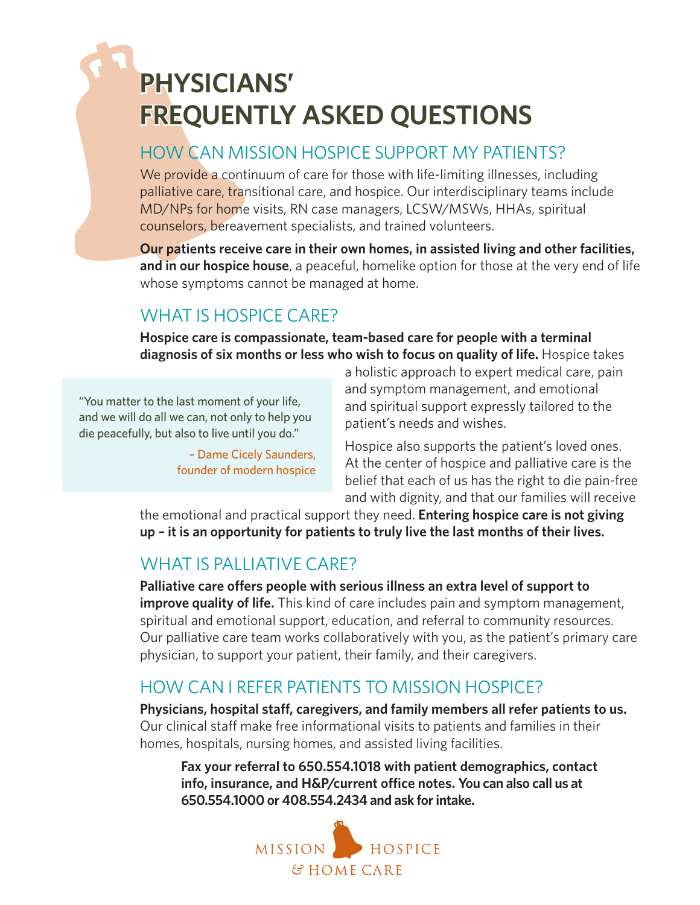# **PHYSICIANS' FREQUENTLY ASKED QUESTIONS**

# HOW CAN MISSION HOSPICE SUPPORT MY PATIENTS?

We provide a continuum of care for those with life-limiting illnesses, including palliative care, transitional care, and hospice. Our interdisciplinary teams include MD/NPs for home visits, RN case managers, LCSW/MSWs, HHAs, spiritual counselors, bereavement specialists, and trained volunteers.

**Our patients receive care in their own homes, in assisted living and other facilities, and in our hospice house**, a peaceful, homelike option for those at the very end of life whose symptoms cannot be managed at home.

# WHAT IS HOSPICE CARE?

**Hospice care is compassionate, team-based care for people with a terminal diagnosis of six months or less who wish to focus on quality of life.** Hospice takes

"You matter to the last moment of your life, and we will do all we can, not only to help you die peacefully, but also to live until you do."

> – Dame Cicely Saunders, founder of modern hospice

a holistic approach to expert medical care, pain and symptom management, and emotional and spiritual support expressly tailored to the patient's needs and wishes.

Hospice also supports the patient's loved ones. At the center of hospice and palliative care is the belief that each of us has the right to die pain-free and with dignity, and that our families will receive

the emotional and practical support they need. **Entering hospice care is not giving up – it is an opportunity for patients to truly live the last months of their lives.**

## WHAT IS PALLIATIVE CARE?

**Palliative care offers people with serious illness an extra level of support to improve quality of life.** This kind of care includes pain and symptom management, spiritual and emotional support, education, and referral to community resources. Our palliative care team works collaboratively with you, as the patient's primary care physician, to support your patient, their family, and their caregivers.

# HOW CAN I REFER PATIENTS TO MISSION HOSPICE?

**Physicians, hospital staff, caregivers, and family members all refer patients to us.**  Our clinical staff make free informational visits to patients and families in their homes, hospitals, nursing homes, and assisted living facilities.

**Fax your referral to 650.554.1018 with patient demographics, contact info, insurance, and H&P/current office notes. You can also call us at 650.554.1000 or 408.554.2434 and ask for intake.**